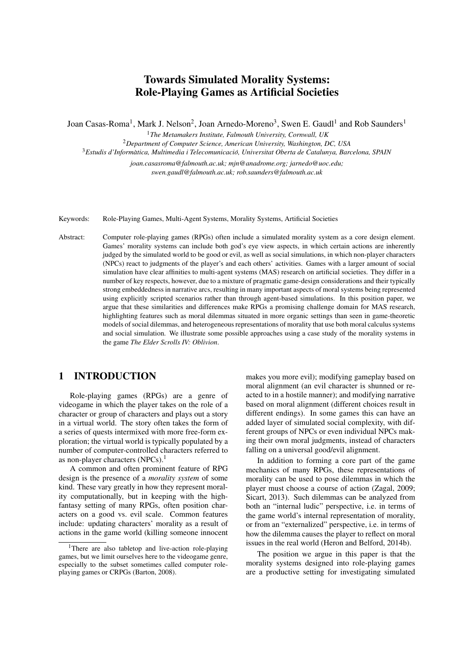# Towards Simulated Morality Systems: Role-Playing Games as Artificial Societies

Joan Casas-Roma<sup>1</sup>, Mark J. Nelson<sup>2</sup>, Joan Arnedo-Moreno<sup>3</sup>, Swen E. Gaudl<sup>1</sup> and Rob Saunders<sup>1</sup>

<sup>1</sup>*The Metamakers Institute, Falmouth University, Cornwall, UK* <sup>2</sup>*Department of Computer Science, American University, Washington, DC, USA* <sup>3</sup>*Estudis d'Informatica, Multimedia i Telecomunicaci ` o, Universitat Oberta de Catalunya, Barcelona, SPAIN ´*

> *joan.casasroma@falmouth.ac.uk; mjn@anadrome.org; jarnedo@uoc.edu; swen.gaudl@falmouth.ac.uk; rob.saunders@falmouth.ac.uk*

Keywords: Role-Playing Games, Multi-Agent Systems, Morality Systems, Artificial Societies

Abstract: Computer role-playing games (RPGs) often include a simulated morality system as a core design element. Games' morality systems can include both god's eye view aspects, in which certain actions are inherently judged by the simulated world to be good or evil, as well as social simulations, in which non-player characters (NPCs) react to judgments of the player's and each others' activities. Games with a larger amount of social simulation have clear affinities to multi-agent systems (MAS) research on artificial societies. They differ in a number of key respects, however, due to a mixture of pragmatic game-design considerations and their typically strong embeddedness in narrative arcs, resulting in many important aspects of moral systems being represented using explicitly scripted scenarios rather than through agent-based simulations. In this position paper, we argue that these similarities and differences make RPGs a promising challenge domain for MAS research, highlighting features such as moral dilemmas situated in more organic settings than seen in game-theoretic models of social dilemmas, and heterogeneous representations of morality that use both moral calculus systems and social simulation. We illustrate some possible approaches using a case study of the morality systems in the game *The Elder Scrolls IV: Oblivion*.

### 1 INTRODUCTION

Role-playing games (RPGs) are a genre of videogame in which the player takes on the role of a character or group of characters and plays out a story in a virtual world. The story often takes the form of a series of quests intermixed with more free-form exploration; the virtual world is typically populated by a number of computer-controlled characters referred to as non-player characters  $(NPCs).<sup>1</sup>$ 

A common and often prominent feature of RPG design is the presence of a *morality system* of some kind. These vary greatly in how they represent morality computationally, but in keeping with the highfantasy setting of many RPGs, often position characters on a good vs. evil scale. Common features include: updating characters' morality as a result of actions in the game world (killing someone innocent

makes you more evil); modifying gameplay based on moral alignment (an evil character is shunned or reacted to in a hostile manner); and modifying narrative based on moral alignment (different choices result in different endings). In some games this can have an added layer of simulated social complexity, with different groups of NPCs or even individual NPCs making their own moral judgments, instead of characters falling on a universal good/evil alignment.

In addition to forming a core part of the game mechanics of many RPGs, these representations of morality can be used to pose dilemmas in which the player must choose a course of action (Zagal, 2009; Sicart, 2013). Such dilemmas can be analyzed from both an "internal ludic" perspective, i.e. in terms of the game world's internal representation of morality, or from an "externalized" perspective, i.e. in terms of how the dilemma causes the player to reflect on moral issues in the real world (Heron and Belford, 2014b).

The position we argue in this paper is that the morality systems designed into role-playing games are a productive setting for investigating simulated

<sup>&</sup>lt;sup>1</sup>There are also tabletop and live-action role-playing games, but we limit ourselves here to the videogame genre, especially to the subset sometimes called computer roleplaying games or CRPGs (Barton, 2008).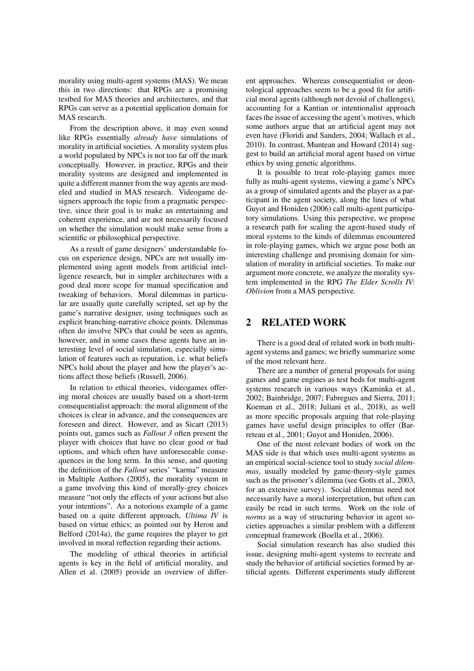morality using multi-agent systems (MAS). We mean this in two directions: that RPGs are a promising testbed for MAS theories and architectures, and that RPGs can serve as a potential application domain for MAS research.

From the description above, it may even sound like RPGs essentially *already have* simulations of morality in artificial societies. A morality system plus a world populated by NPCs is not too far off the mark conceptually. However, in practice, RPGs and their morality systems are designed and implemented in quite a different manner from the way agents are modeled and studied in MAS research. Videogame designers approach the topic from a pragmatic perspective, since their goal is to make an entertaining and coherent experience, and are not necessarily focused on whether the simulation would make sense from a scientific or philosophical perspective.

As a result of game designers' understandable focus on experience design, NPCs are not usually implemented using agent models from artificial intelligence research, but in simpler architectures with a good deal more scope for manual specification and tweaking of behaviors. Moral dilemmas in particular are usually quite carefully scripted, set up by the game's narrative designer, using techniques such as explicit branching-narrative choice points. Dilemmas often do involve NPCs that could be seen as agents, however, and in some cases these agents have an interesting level of social simulation, especially simulation of features such as reputation, i.e. what beliefs NPCs hold about the player and how the player's actions affect those beliefs (Russell, 2006).

In relation to ethical theories, videogames offering moral choices are usually based on a short-term consequentialist approach: the moral alignment of the choices is clear in advance, and the consequences are foreseen and direct. However, and as Sicart (2013) points out, games such as *Fallout 3* often present the player with choices that have no clear good or bad options, and which often have unforeseeable consequences in the long term. In this sense, and quoting the definition of the *Fallout* series' "karma" measure in Multiple Authors (2005), the morality system in a game involving this kind of morally-grey choices measure "not only the effects of your actions but also your intentions". As a notorious example of a game based on a quite different approach, *Ultima IV* is based on virtue ethics; as pointed out by Heron and Belford (2014a), the game requires the player to get involved in moral reflection regarding their actions.

The modeling of ethical theories in artificial agents is key in the field of artificial morality, and Allen et al. (2005) provide an overview of different approaches. Whereas consequentialist or deontological approaches seem to be a good fit for artificial moral agents (although not devoid of challenges), accounting for a Kantian or intentionalist approach faces the issue of accessing the agent's motives, which some authors argue that an artificial agent may not even have (Floridi and Sanders, 2004; Wallach et al., 2010). In contrast, Muntean and Howard (2014) suggest to build an artificial moral agent based on virtue ethics by using genetic algorithms.

It is possible to treat role-playing games more fully as multi-agent systems, viewing a game's NPCs as a group of simulated agents and the player as a participant in the agent society, along the lines of what Guyot and Honiden (2006) call multi-agent participatory simulations. Using this perspective, we propose a research path for scaling the agent-based study of moral systems to the kinds of dilemmas encountered in role-playing games, which we argue pose both an interesting challenge and promising domain for simulation of morality in artificial societies. To make our argument more concrete, we analyze the morality system implemented in the RPG *The Elder Scrolls IV: Oblivion* from a MAS perspective.

## 2 RELATED WORK

There is a good deal of related work in both multiagent systems and games; we briefly summarize some of the most relevant here.

There are a number of general proposals for using games and game engines as test beds for multi-agent systems research in various ways (Kaminka et al., 2002; Bainbridge, 2007; Fabregues and Sierra, 2011; Koeman et al., 2018; Juliani et al., 2018), as well as more specific proposals arguing that role-playing games have useful design principles to offer (Barreteau et al., 2001; Guyot and Honiden, 2006).

One of the most relevant bodies of work on the MAS side is that which uses multi-agent systems as an empirical social-science tool to study *social dilemmas*, usually modeled by game-theory-style games such as the prisoner's dilemma (see Gotts et al., 2003, for an extensive survey). Social dilemmas need not necessarily have a moral interpretation, but often can easily be read in such terms. Work on the role of *norms* as a way of structuring behavior in agent societies approaches a similar problem with a different conceptual framework (Boella et al., 2006).

Social simulation research has also studied this issue, designing multi-agent systems to recreate and study the behavior of artificial societies formed by artificial agents. Different experiments study different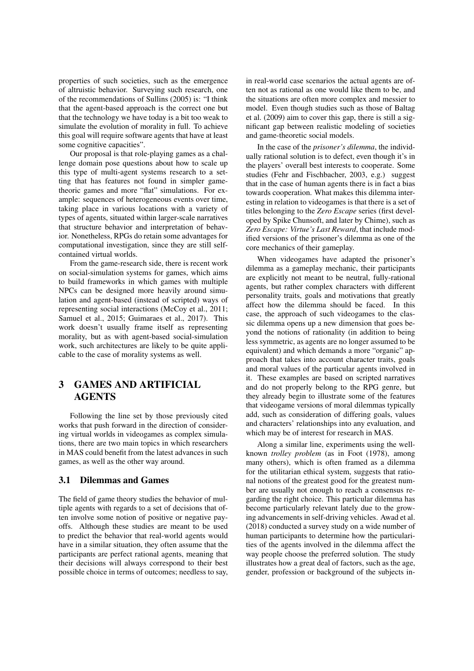properties of such societies, such as the emergence of altruistic behavior. Surveying such research, one of the recommendations of Sullins (2005) is: "I think that the agent-based approach is the correct one but that the technology we have today is a bit too weak to simulate the evolution of morality in full. To achieve this goal will require software agents that have at least some cognitive capacities".

Our proposal is that role-playing games as a challenge domain pose questions about how to scale up this type of multi-agent systems research to a setting that has features not found in simpler gametheoric games and more "flat" simulations. For example: sequences of heterogeneous events over time, taking place in various locations with a variety of types of agents, situated within larger-scale narratives that structure behavior and interpretation of behavior. Nonetheless, RPGs do retain some advantages for computational investigation, since they are still selfcontained virtual worlds.

From the game-research side, there is recent work on social-simulation systems for games, which aims to build frameworks in which games with multiple NPCs can be designed more heavily around simulation and agent-based (instead of scripted) ways of representing social interactions (McCoy et al., 2011; Samuel et al., 2015; Guimaraes et al., 2017). This work doesn't usually frame itself as representing morality, but as with agent-based social-simulation work, such architectures are likely to be quite applicable to the case of morality systems as well.

## 3 GAMES AND ARTIFICIAL AGENTS

Following the line set by those previously cited works that push forward in the direction of considering virtual worlds in videogames as complex simulations, there are two main topics in which researchers in MAS could benefit from the latest advances in such games, as well as the other way around.

#### 3.1 Dilemmas and Games

The field of game theory studies the behavior of multiple agents with regards to a set of decisions that often involve some notion of positive or negative payoffs. Although these studies are meant to be used to predict the behavior that real-world agents would have in a similar situation, they often assume that the participants are perfect rational agents, meaning that their decisions will always correspond to their best possible choice in terms of outcomes; needless to say,

in real-world case scenarios the actual agents are often not as rational as one would like them to be, and the situations are often more complex and messier to model. Even though studies such as those of Baltag et al. (2009) aim to cover this gap, there is still a significant gap between realistic modeling of societies and game-theoretic social models.

In the case of the *prisoner's dilemma*, the individually rational solution is to defect, even though it's in the players' overall best interests to cooperate. Some studies (Fehr and Fischbacher, 2003, e.g.) suggest that in the case of human agents there is in fact a bias towards cooperation. What makes this dilemma interesting in relation to videogames is that there is a set of titles belonging to the *Zero Escape* series (first developed by Spike Chunsoft, and later by Chime), such as *Zero Escape: Virtue's Last Reward*, that include modified versions of the prisoner's dilemma as one of the core mechanics of their gameplay.

When videogames have adapted the prisoner's dilemma as a gameplay mechanic, their participants are explicitly not meant to be neutral, fully-rational agents, but rather complex characters with different personality traits, goals and motivations that greatly affect how the dilemma should be faced. In this case, the approach of such videogames to the classic dilemma opens up a new dimension that goes beyond the notions of rationality (in addition to being less symmetric, as agents are no longer assumed to be equivalent) and which demands a more "organic" approach that takes into account character traits, goals and moral values of the particular agents involved in it. These examples are based on scripted narratives and do not properly belong to the RPG genre, but they already begin to illustrate some of the features that videogame versions of moral dilemmas typically add, such as consideration of differing goals, values and characters' relationships into any evaluation, and which may be of interest for research in MAS.

Along a similar line, experiments using the wellknown *trolley problem* (as in Foot (1978), among many others), which is often framed as a dilemma for the utilitarian ethical system, suggests that rational notions of the greatest good for the greatest number are usually not enough to reach a consensus regarding the right choice. This particular dilemma has become particularly relevant lately due to the growing advancements in self-driving vehicles. Awad et al. (2018) conducted a survey study on a wide number of human participants to determine how the particularities of the agents involved in the dilemma affect the way people choose the preferred solution. The study illustrates how a great deal of factors, such as the age, gender, profession or background of the subjects in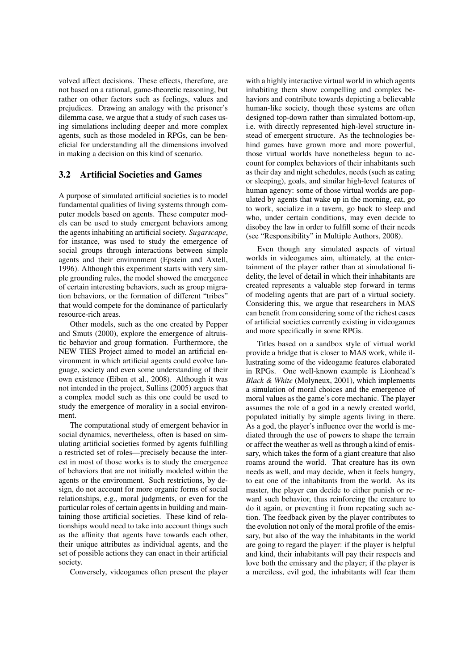volved affect decisions. These effects, therefore, are not based on a rational, game-theoretic reasoning, but rather on other factors such as feelings, values and prejudices. Drawing an analogy with the prisoner's dilemma case, we argue that a study of such cases using simulations including deeper and more complex agents, such as those modeled in RPGs, can be beneficial for understanding all the dimensions involved in making a decision on this kind of scenario.

#### 3.2 Artificial Societies and Games

A purpose of simulated artificial societies is to model fundamental qualities of living systems through computer models based on agents. These computer models can be used to study emergent behaviors among the agents inhabiting an artificial society. *Sugarscape*, for instance, was used to study the emergence of social groups through interactions between simple agents and their environment (Epstein and Axtell, 1996). Although this experiment starts with very simple grounding rules, the model showed the emergence of certain interesting behaviors, such as group migration behaviors, or the formation of different "tribes" that would compete for the dominance of particularly resource-rich areas.

Other models, such as the one created by Pepper and Smuts (2000), explore the emergence of altruistic behavior and group formation. Furthermore, the NEW TIES Project aimed to model an artificial environment in which artificial agents could evolve language, society and even some understanding of their own existence (Eiben et al., 2008). Although it was not intended in the project, Sullins (2005) argues that a complex model such as this one could be used to study the emergence of morality in a social environment.

The computational study of emergent behavior in social dynamics, nevertheless, often is based on simulating artificial societies formed by agents fulfilling a restricted set of roles—precisely because the interest in most of those works is to study the emergence of behaviors that are not initially modeled within the agents or the environment. Such restrictions, by design, do not account for more organic forms of social relationships, e.g., moral judgments, or even for the particular roles of certain agents in building and maintaining those artificial societies. These kind of relationships would need to take into account things such as the affinity that agents have towards each other, their unique attributes as individual agents, and the set of possible actions they can enact in their artificial society.

Conversely, videogames often present the player

with a highly interactive virtual world in which agents inhabiting them show compelling and complex behaviors and contribute towards depicting a believable human-like society, though these systems are often designed top-down rather than simulated bottom-up, i.e. with directly represented high-level structure instead of emergent structure. As the technologies behind games have grown more and more powerful, those virtual worlds have nonetheless begun to account for complex behaviors of their inhabitants such as their day and night schedules, needs (such as eating or sleeping), goals, and similar high-level features of human agency: some of those virtual worlds are populated by agents that wake up in the morning, eat, go to work, socialize in a tavern, go back to sleep and who, under certain conditions, may even decide to disobey the law in order to fulfill some of their needs (see "Responsibility" in Multiple Authors, 2008).

Even though any simulated aspects of virtual worlds in videogames aim, ultimately, at the entertainment of the player rather than at simulational fidelity, the level of detail in which their inhabitants are created represents a valuable step forward in terms of modeling agents that are part of a virtual society. Considering this, we argue that researchers in MAS can benefit from considering some of the richest cases of artificial societies currently existing in videogames and more specifically in some RPGs.

Titles based on a sandbox style of virtual world provide a bridge that is closer to MAS work, while illustrating some of the videogame features elaborated in RPGs. One well-known example is Lionhead's *Black & White* (Molyneux, 2001), which implements a simulation of moral choices and the emergence of moral values as the game's core mechanic. The player assumes the role of a god in a newly created world, populated initially by simple agents living in there. As a god, the player's influence over the world is mediated through the use of powers to shape the terrain or affect the weather as well as through a kind of emissary, which takes the form of a giant creature that also roams around the world. That creature has its own needs as well, and may decide, when it feels hungry, to eat one of the inhabitants from the world. As its master, the player can decide to either punish or reward such behavior, thus reinforcing the creature to do it again, or preventing it from repeating such action. The feedback given by the player contributes to the evolution not only of the moral profile of the emissary, but also of the way the inhabitants in the world are going to regard the player: if the player is helpful and kind, their inhabitants will pay their respects and love both the emissary and the player; if the player is a merciless, evil god, the inhabitants will fear them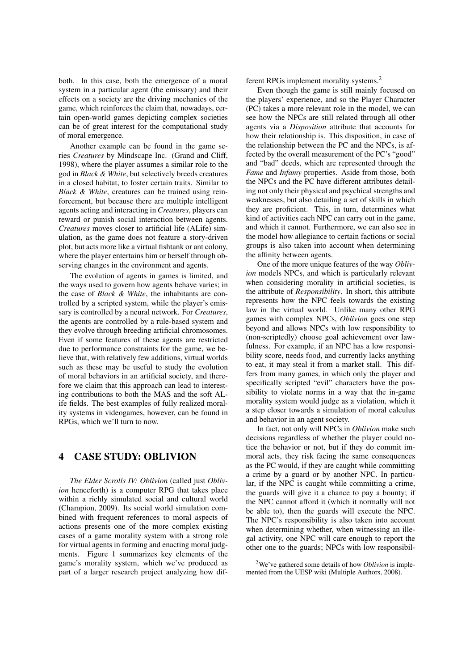both. In this case, both the emergence of a moral system in a particular agent (the emissary) and their effects on a society are the driving mechanics of the game, which reinforces the claim that, nowadays, certain open-world games depicting complex societies can be of great interest for the computational study of moral emergence.

Another example can be found in the game series *Creatures* by Mindscape Inc. (Grand and Cliff, 1998), where the player assumes a similar role to the god in *Black & White*, but selectively breeds creatures in a closed habitat, to foster certain traits. Similar to *Black & White*, creatures can be trained using reinforcement, but because there are multiple intelligent agents acting and interacting in *Creatures*, players can reward or punish social interaction between agents. *Creatures* moves closer to artificial life (ALife) simulation, as the game does not feature a story-driven plot, but acts more like a virtual fishtank or ant colony, where the player entertains him or herself through observing changes in the environment and agents.

The evolution of agents in games is limited, and the ways used to govern how agents behave varies; in the case of *Black & White*, the inhabitants are controlled by a scripted system, while the player's emissary is controlled by a neural network. For *Creatures*, the agents are controlled by a rule-based system and they evolve through breeding artificial chromosomes. Even if some features of these agents are restricted due to performance constraints for the game, we believe that, with relatively few additions, virtual worlds such as these may be useful to study the evolution of moral behaviors in an artificial society, and therefore we claim that this approach can lead to interesting contributions to both the MAS and the soft ALife fields. The best examples of fully realized morality systems in videogames, however, can be found in RPGs, which we'll turn to now.

## 4 CASE STUDY: OBLIVION

*The Elder Scrolls IV: Oblivion* (called just *Oblivion* henceforth) is a computer RPG that takes place within a richly simulated social and cultural world (Champion, 2009). Its social world simulation combined with frequent references to moral aspects of actions presents one of the more complex existing cases of a game morality system with a strong role for virtual agents in forming and enacting moral judgments. Figure 1 summarizes key elements of the game's morality system, which we've produced as part of a larger research project analyzing how different RPGs implement morality systems.<sup>2</sup>

Even though the game is still mainly focused on the players' experience, and so the Player Character (PC) takes a more relevant role in the model, we can see how the NPCs are still related through all other agents via a *Disposition* attribute that accounts for how their relationship is. This disposition, in case of the relationship between the PC and the NPCs, is affected by the overall measurement of the PC's "good" and "bad" deeds, which are represented through the *Fame* and *Infamy* properties. Aside from those, both the NPCs and the PC have different attributes detailing not only their physical and psychical strengths and weaknesses, but also detailing a set of skills in which they are proficient. This, in turn, determines what kind of activities each NPC can carry out in the game, and which it cannot. Furthermore, we can also see in the model how allegiance to certain factions or social groups is also taken into account when determining the affinity between agents.

One of the more unique features of the way *Oblivion* models NPCs, and which is particularly relevant when considering morality in artificial societies, is the attribute of *Responsibility*. In short, this attribute represents how the NPC feels towards the existing law in the virtual world. Unlike many other RPG games with complex NPCs, *Oblivion* goes one step beyond and allows NPCs with low responsibility to (non-scriptedly) choose goal achievement over lawfulness. For example, if an NPC has a low responsibility score, needs food, and currently lacks anything to eat, it may steal it from a market stall. This differs from many games, in which only the player and specifically scripted "evil" characters have the possibility to violate norms in a way that the in-game morality system would judge as a violation, which it a step closer towards a simulation of moral calculus and behavior in an agent society.

In fact, not only will NPCs in *Oblivion* make such decisions regardless of whether the player could notice the behavior or not, but if they do commit immoral acts, they risk facing the same consequences as the PC would, if they are caught while committing a crime by a guard or by another NPC. In particular, if the NPC is caught while committing a crime, the guards will give it a chance to pay a bounty; if the NPC cannot afford it (which it normally will not be able to), then the guards will execute the NPC. The NPC's responsibility is also taken into account when determining whether, when witnessing an illegal activity, one NPC will care enough to report the other one to the guards; NPCs with low responsibil-

<sup>2</sup>We've gathered some details of how *Oblivion* is implemented from the UESP wiki (Multiple Authors, 2008).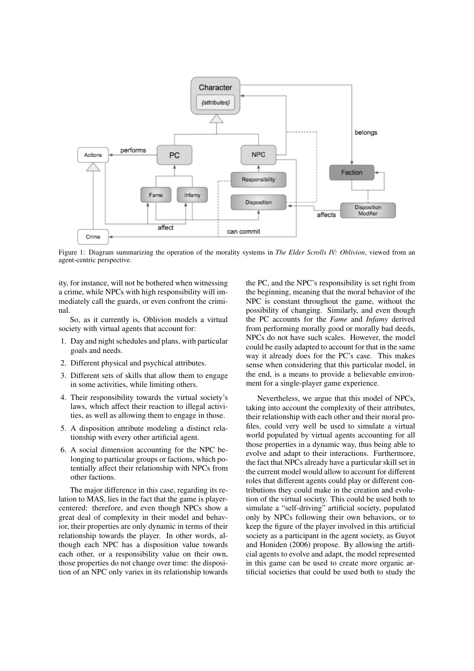

Figure 1: Diagram summarizing the operation of the morality systems in *The Elder Scrolls IV: Oblivion*, viewed from an agent-centric perspective.

ity, for instance, will not be bothered when witnessing a crime, while NPCs with high responsibility will immediately call the guards, or even confront the criminal.

So, as it currently is, Oblivion models a virtual society with virtual agents that account for:

- 1. Day and night schedules and plans, with particular goals and needs.
- 2. Different physical and psychical attributes.
- 3. Different sets of skills that allow them to engage in some activities, while limiting others.
- 4. Their responsibility towards the virtual society's laws, which affect their reaction to illegal activities, as well as allowing them to engage in those.
- 5. A disposition attribute modeling a distinct relationship with every other artificial agent.
- 6. A social dimension accounting for the NPC belonging to particular groups or factions, which potentially affect their relationship with NPCs from other factions.

The major difference in this case, regarding its relation to MAS, lies in the fact that the game is playercentered: therefore, and even though NPCs show a great deal of complexity in their model and behavior, their properties are only dynamic in terms of their relationship towards the player. In other words, although each NPC has a disposition value towards each other, or a responsibility value on their own, those properties do not change over time: the disposition of an NPC only varies in its relationship towards the PC, and the NPC's responsibility is set right from the beginning, meaning that the moral behavior of the NPC is constant throughout the game, without the possibility of changing. Similarly, and even though the PC accounts for the *Fame* and *Infamy* derived from performing morally good or morally bad deeds, NPCs do not have such scales. However, the model could be easily adapted to account for that in the same way it already does for the PC's case. This makes sense when considering that this particular model, in the end, is a means to provide a believable environment for a single-player game experience.

Nevertheless, we argue that this model of NPCs, taking into account the complexity of their attributes, their relationship with each other and their moral profiles, could very well be used to simulate a virtual world populated by virtual agents accounting for all those properties in a dynamic way, thus being able to evolve and adapt to their interactions. Furthermore, the fact that NPCs already have a particular skill set in the current model would allow to account for different roles that different agents could play or different contributions they could make in the creation and evolution of the virtual society. This could be used both to simulate a "self-driving" artificial society, populated only by NPCs following their own behaviors, or to keep the figure of the player involved in this artificial society as a participant in the agent society, as Guyot and Honiden (2006) propose. By allowing the artificial agents to evolve and adapt, the model represented in this game can be used to create more organic artificial societies that could be used both to study the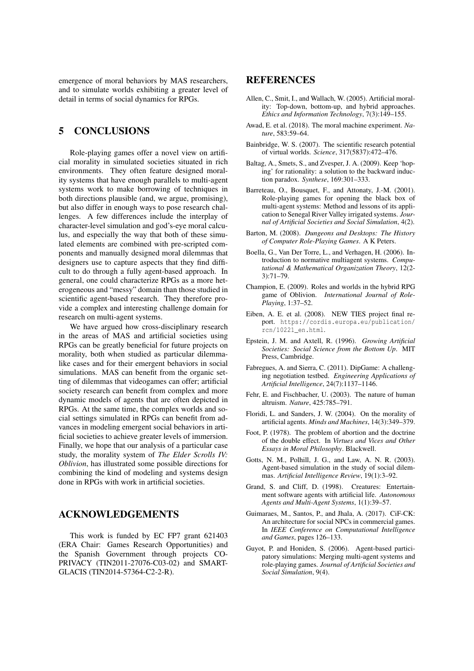emergence of moral behaviors by MAS researchers, and to simulate worlds exhibiting a greater level of detail in terms of social dynamics for RPGs.

## 5 CONCLUSIONS

Role-playing games offer a novel view on artificial morality in simulated societies situated in rich environments. They often feature designed morality systems that have enough parallels to multi-agent systems work to make borrowing of techniques in both directions plausible (and, we argue, promising), but also differ in enough ways to pose research challenges. A few differences include the interplay of character-level simulation and god's-eye moral calculus, and especially the way that both of these simulated elements are combined with pre-scripted components and manually designed moral dilemmas that designers use to capture aspects that they find difficult to do through a fully agent-based approach. In general, one could characterize RPGs as a more heterogeneous and "messy" domain than those studied in scientific agent-based research. They therefore provide a complex and interesting challenge domain for research on multi-agent systems.

We have argued how cross-disciplinary research in the areas of MAS and artificial societies using RPGs can be greatly beneficial for future projects on morality, both when studied as particular dilemmalike cases and for their emergent behaviors in social simulations. MAS can benefit from the organic setting of dilemmas that videogames can offer; artificial society research can benefit from complex and more dynamic models of agents that are often depicted in RPGs. At the same time, the complex worlds and social settings simulated in RPGs can benefit from advances in modeling emergent social behaviors in artificial societies to achieve greater levels of immersion. Finally, we hope that our analysis of a particular case study, the morality system of *The Elder Scrolls IV: Oblivion*, has illustrated some possible directions for combining the kind of modeling and systems design done in RPGs with work in artificial societies.

## ACKNOWLEDGEMENTS

This work is funded by EC FP7 grant 621403 (ERA Chair: Games Research Opportunities) and the Spanish Government through projects CO-PRIVACY (TIN2011-27076-C03-02) and SMART-GLACIS (TIN2014-57364-C2-2-R).

### REFERENCES

- Allen, C., Smit, I., and Wallach, W. (2005). Artificial morality: Top-down, bottom-up, and hybrid approaches. *Ethics and Information Technology*, 7(3):149–155.
- Awad, E. et al. (2018). The moral machine experiment. *Nature*, 583:59–64.
- Bainbridge, W. S. (2007). The scientific research potential of virtual worlds. *Science*, 317(5837):472–476.
- Baltag, A., Smets, S., and Zvesper, J. A. (2009). Keep 'hoping' for rationality: a solution to the backward induction paradox. *Synthese*, 169:301–333.
- Barreteau, O., Bousquet, F., and Attonaty, J.-M. (2001). Role-playing games for opening the black box of multi-agent systems: Method and lessons of its application to Senegal River Valley irrigated systems. *Journal of Artificial Societies and Social Simulation*, 4(2).
- Barton, M. (2008). *Dungeons and Desktops: The History of Computer Role-Playing Games*. A K Peters.
- Boella, G., Van Der Torre, L., and Verhagen, H. (2006). Introduction to normative multiagent systems. *Computational & Mathematical Organization Theory*, 12(2- 3):71–79.
- Champion, E. (2009). Roles and worlds in the hybrid RPG game of Oblivion. *International Journal of Role-Playing*, 1:37–52.
- Eiben, A. E. et al. (2008). NEW TIES project final report. https://cordis.europa.eu/publication/ rcn/10221\_en.html.
- Epstein, J. M. and Axtell, R. (1996). *Growing Artificial Societies: Social Science from the Bottom Up*. MIT Press, Cambridge.
- Fabregues, A. and Sierra, C. (2011). DipGame: A challenging negotiation testbed. *Engineering Applications of Artificial Intelligence*, 24(7):1137–1146.
- Fehr, E. and Fischbacher, U. (2003). The nature of human altruism. *Nature*, 425:785–791.
- Floridi, L. and Sanders, J. W. (2004). On the morality of artificial agents. *Minds and Machines*, 14(3):349–379.
- Foot, P. (1978). The problem of abortion and the doctrine of the double effect. In *Virtues and Vices and Other Essays in Moral Philosophy*. Blackwell.
- Gotts, N. M., Polhill, J. G., and Law, A. N. R. (2003). Agent-based simulation in the study of social dilemmas. *Artificial Intelligence Review*, 19(1):3–92.
- Grand, S. and Cliff, D. (1998). Creatures: Entertainment software agents with artificial life. *Autonomous Agents and Multi-Agent Systems*, 1(1):39–57.
- Guimaraes, M., Santos, P., and Jhala, A. (2017). CiF-CK: An architecture for social NPCs in commercial games. In *IEEE Conference on Computational Intelligence and Games*, pages 126–133.
- Guyot, P. and Honiden, S. (2006). Agent-based participatory simulations: Merging multi-agent systems and role-playing games. *Journal of Artificial Societies and Social Simulation*, 9(4).